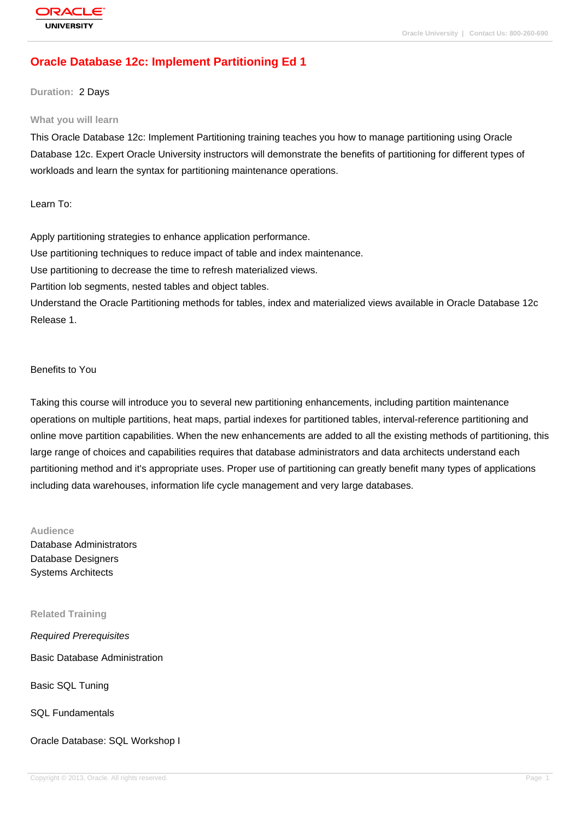# **[Oracle Databas](http://education.oracle.com/pls/web_prod-plq-dad/db_pages.getpage?page_id=3)e 12c: Implement Partitioning Ed 1**

### **Duration:** 2 Days

#### **What you will learn**

This Oracle Database 12c: Implement Partitioning training teaches you how to manage partitioning using Oracle Database 12c. Expert Oracle University instructors will demonstrate the benefits of partitioning for different types of workloads and learn the syntax for partitioning maintenance operations.

Learn To:

Apply partitioning strategies to enhance application performance. Use partitioning techniques to reduce impact of table and index maintenance. Use partitioning to decrease the time to refresh materialized views. Partition lob segments, nested tables and object tables. Understand the Oracle Partitioning methods for tables, index and materialized views available in Oracle Database 12c Release 1.

## Benefits to You

Taking this course will introduce you to several new partitioning enhancements, including partition maintenance operations on multiple partitions, heat maps, partial indexes for partitioned tables, interval-reference partitioning and online move partition capabilities. When the new enhancements are added to all the existing methods of partitioning, this large range of choices and capabilities requires that database administrators and data architects understand each partitioning method and it's appropriate uses. Proper use of partitioning can greatly benefit many types of applications including data warehouses, information life cycle management and very large databases.

## **Audience**

Database Administrators Database Designers Systems Architects

#### **Related Training**

Required Prerequisites

Basic Database Administration

Basic SQL Tuning

SQL Fundamentals

Oracle Database: SQL Workshop I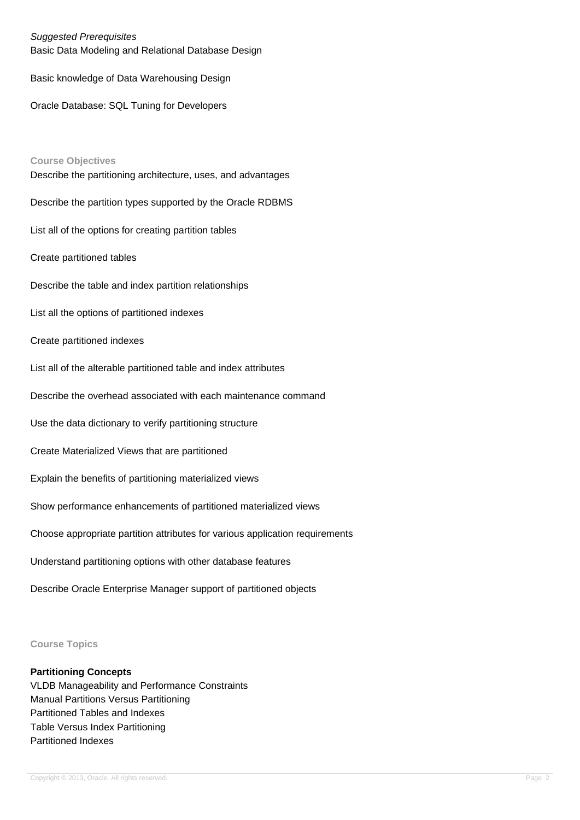## Suggested Prerequisites

Basic Data Modeling and Relational Database Design

Basic knowledge of Data Warehousing Design

Oracle Database: SQL Tuning for Developers

**Course Objectives** Describe the partitioning architecture, uses, and advantages Describe the partition types supported by the Oracle RDBMS List all of the options for creating partition tables Create partitioned tables Describe the table and index partition relationships List all the options of partitioned indexes Create partitioned indexes List all of the alterable partitioned table and index attributes Describe the overhead associated with each maintenance command Use the data dictionary to verify partitioning structure Create Materialized Views that are partitioned Explain the benefits of partitioning materialized views Show performance enhancements of partitioned materialized views Choose appropriate partition attributes for various application requirements Understand partitioning options with other database features Describe Oracle Enterprise Manager support of partitioned objects

**Course Topics**

#### **Partitioning Concepts**

VLDB Manageability and Performance Constraints Manual Partitions Versus Partitioning Partitioned Tables and Indexes Table Versus Index Partitioning Partitioned Indexes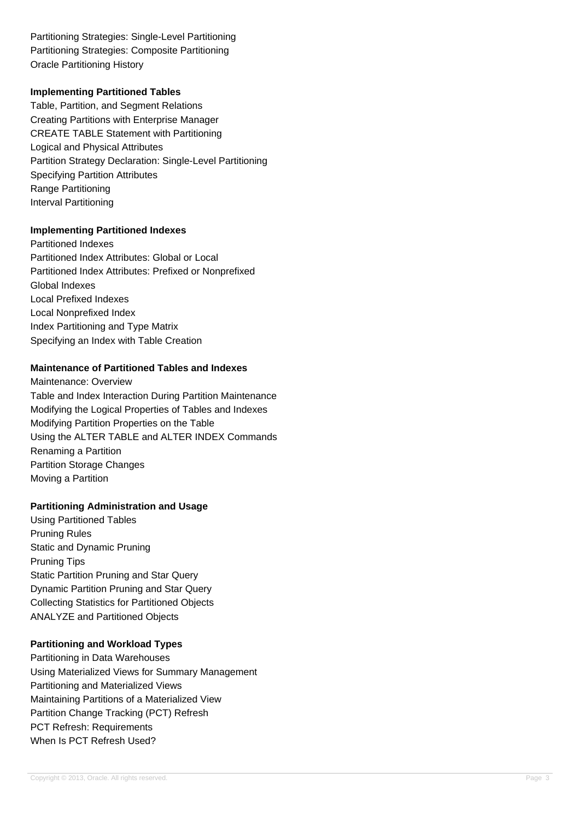Partitioning Strategies: Single-Level Partitioning Partitioning Strategies: Composite Partitioning Oracle Partitioning History

### **Implementing Partitioned Tables**

Table, Partition, and Segment Relations Creating Partitions with Enterprise Manager CREATE TABLE Statement with Partitioning Logical and Physical Attributes Partition Strategy Declaration: Single-Level Partitioning Specifying Partition Attributes Range Partitioning Interval Partitioning

### **Implementing Partitioned Indexes**

Partitioned Indexes Partitioned Index Attributes: Global or Local Partitioned Index Attributes: Prefixed or Nonprefixed Global Indexes Local Prefixed Indexes Local Nonprefixed Index Index Partitioning and Type Matrix Specifying an Index with Table Creation

## **Maintenance of Partitioned Tables and Indexes**

Maintenance: Overview Table and Index Interaction During Partition Maintenance Modifying the Logical Properties of Tables and Indexes Modifying Partition Properties on the Table Using the ALTER TABLE and ALTER INDEX Commands Renaming a Partition Partition Storage Changes Moving a Partition

## **Partitioning Administration and Usage**

Using Partitioned Tables Pruning Rules Static and Dynamic Pruning Pruning Tips Static Partition Pruning and Star Query Dynamic Partition Pruning and Star Query Collecting Statistics for Partitioned Objects ANALYZE and Partitioned Objects

## **Partitioning and Workload Types**

Partitioning in Data Warehouses Using Materialized Views for Summary Management Partitioning and Materialized Views Maintaining Partitions of a Materialized View Partition Change Tracking (PCT) Refresh PCT Refresh: Requirements When Is PCT Refresh Used?